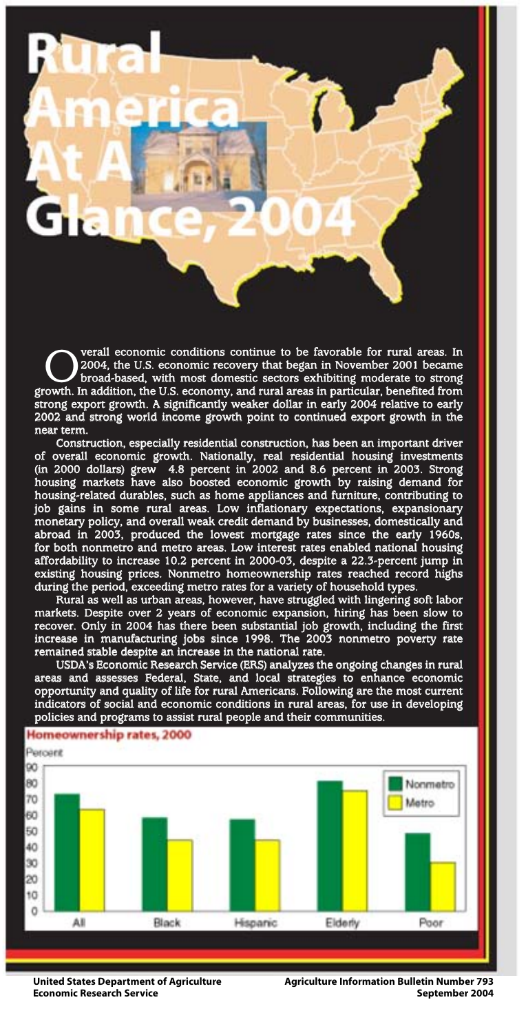**COVERGO VERGO CONTEGRAL EXECUTE:** Verall economic conditions continue to be favorable for rural areas. In 2004, the U.S. economic recovery that began in November 2001 became broad-based, with most domestic sectors exhibit 2004, the U.S. economic recovery that began in November 2001 became broad-based, with most domestic sectors exhibiting moderate to strong growth. In addition, the U.S. economy, and rural areas in particular, benefited from strong export growth. A significantly weaker dollar in early 2004 relative to early 2002 and strong world income growth point to continued export growth in the near term.

Construction, especially residential construction, has been an important driver of overall economic growth. Nationally, real residential housing investments (in 2000 dollars) grew 4.8 percent in 2002 and 8.6 percent in 2003. Strong housing markets have also boosted economic growth by raising demand for housing-related durables, such as home appliances and furniture, contributing to job gains in some rural areas. Low inflationary expectations, expansionary monetary policy, and overall weak credit demand by businesses, domestically and abroad in 2003, produced the lowest mortgage rates since the early 1960s, for both nonmetro and metro areas. Low interest rates enabled national housing affordability to increase 10.2 percent in 2000-03, despite a 22.3-percent jump in existing housing prices. Nonmetro homeownership rates reached record highs during the period, exceeding metro rates for a variety of household types.

Rural as well as urban areas, however, have struggled with lingering soft labor markets. Despite over 2 years of economic expansion, hiring has been slow to recover. Only in 2004 has there been substantial job growth, including the first increase in manufacturing jobs since 1998. The 2003 nonmetro poverty rate remained stable despite an increase in the national rate.

USDA's Economic Research Service (ERS) analyzes the ongoing changes in rural areas and assesses Federal, State, and local strategies to enhance economic opportunity and quality of life for rural Americans. Following are the most current indicators of social and economic conditions in rural areas, for use in developing policies and programs to assist rural people and their communities.



**United States Department of Agriculture Economic Research Service**

**Agriculture Information Bulletin Number 793 September 2004**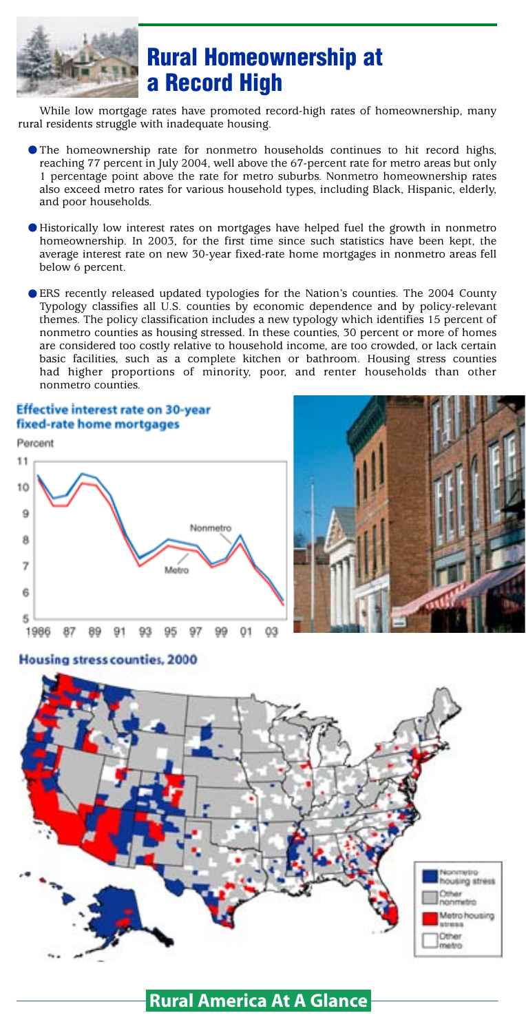

# **Rural Homeownership at a Record High**

While low mortgage rates have promoted record-high rates of homeownership, many rural residents struggle with inadequate housing.

- The homeownership rate for nonmetro households continues to hit record highs, reaching 77 percent in July 2004, well above the 67-percent rate for metro areas but only 1 percentage point above the rate for metro suburbs. Nonmetro homeownership rates also exceed metro rates for various household types, including Black, Hispanic, elderly, and poor households.
- Historically low interest rates on mortgages have helped fuel the growth in nonmetro homeownership. In 2003, for the first time since such statistics have been kept, the average interest rate on new 30-year fixed-rate home mortgages in nonmetro areas fell below 6 percent.
- ERS recently released updated typologies for the Nation's counties. The 2004 County Typology classifies all U.S. counties by economic dependence and by policy-relevant themes. The policy classification includes a new typology which identifies 15 percent of nonmetro counties as housing stressed. In these counties, 30 percent or more of homes are considered too costly relative to household income, are too crowded, or lack certain basic facilities, such as a complete kitchen or bathroom. Housing stress counties had higher proportions of minority, poor, and renter households than other nonmetro counties.

### **Effective interest rate on 30-year** fixed-rate home mortgages







### **Housing stress counties, 2000**

### **Rural America At A Glance**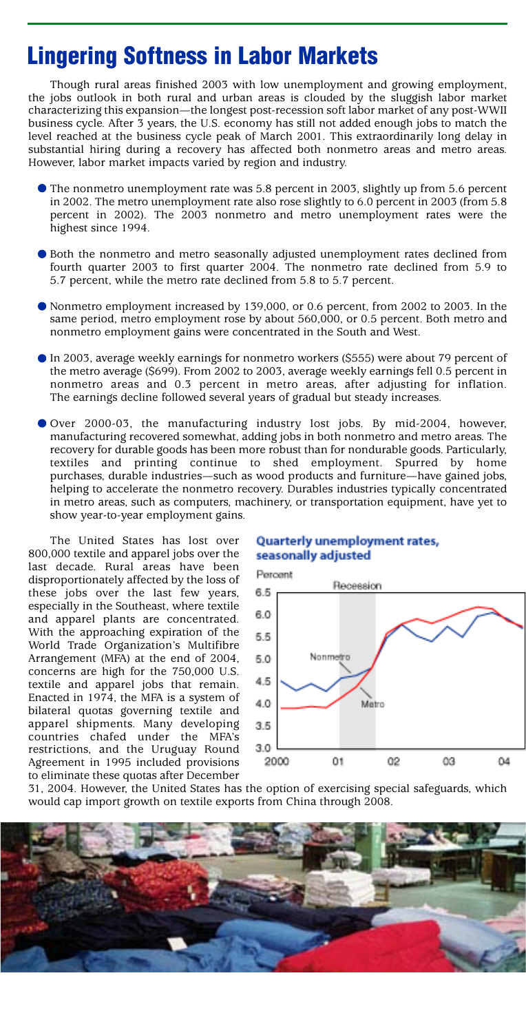## **Lingering Softness in Labor Markets**

Though rural areas finished 2003 with low unemployment and growing employment, the jobs outlook in both rural and urban areas is clouded by the sluggish labor market characterizing this expansion—the longest post-recession soft labor market of any post-WWII business cycle. After 3 years, the U.S. economy has still not added enough jobs to match the level reached at the business cycle peak of March 2001. This extraordinarily long delay in substantial hiring during a recovery has affected both nonmetro areas and metro areas. However, labor market impacts varied by region and industry.

- The nonmetro unemployment rate was 5.8 percent in 2003, slightly up from 5.6 percent in 2002. The metro unemployment rate also rose slightly to 6.0 percent in 2003 (from 5.8 percent in 2002). The 2003 nonmetro and metro unemployment rates were the highest since 1994.
- Both the nonmetro and metro seasonally adjusted unemployment rates declined from fourth quarter 2003 to first quarter 2004. The nonmetro rate declined from 5.9 to 5.7 percent, while the metro rate declined from 5.8 to 5.7 percent.
- Nonmetro employment increased by 139,000, or 0.6 percent, from 2002 to 2003. In the same period, metro employment rose by about 560,000, or 0.5 percent. Both metro and nonmetro employment gains were concentrated in the South and West.
- In 2003, average weekly earnings for nonmetro workers (\$555) were about 79 percent of the metro average (\$699). From 2002 to 2003, average weekly earnings fell 0.5 percent in nonmetro areas and 0.3 percent in metro areas, after adjusting for inflation. The earnings decline followed several years of gradual but steady increases.
- ? Over 2000-03, the manufacturing industry lost jobs. By mid-2004, however, manufacturing recovered somewhat, adding jobs in both nonmetro and metro areas. The recovery for durable goods has been more robust than for nondurable goods. Particularly, textiles and printing continue to shed employment. Spurred by home purchases, durable industries—such as wood products and furniture—have gained jobs, helping to accelerate the nonmetro recovery. Durables industries typically concentrated in metro areas, such as computers, machinery, or transportation equipment, have yet to show year-to-year employment gains.

The United States has lost over 800,000 textile and apparel jobs over the last decade. Rural areas have been disproportionately affected by the loss of these jobs over the last few years, especially in the Southeast, where textile and apparel plants are concentrated. With the approaching expiration of the World Trade Organization's Multifibre Arrangement (MFA) at the end of 2004, concerns are high for the 750,000 U.S. textile and apparel jobs that remain. Enacted in 1974, the MFA is a system of bilateral quotas governing textile and apparel shipments. Many developing countries chafed under the MFA's restrictions, and the Uruguay Round Agreement in 1995 included provisions to eliminate these quotas after December

#### Quarterly unemployment rates, seasonally adjusted



31, 2004. However, the United States has the option of exercising special safeguards, which would cap import growth on textile exports from China through 2008.

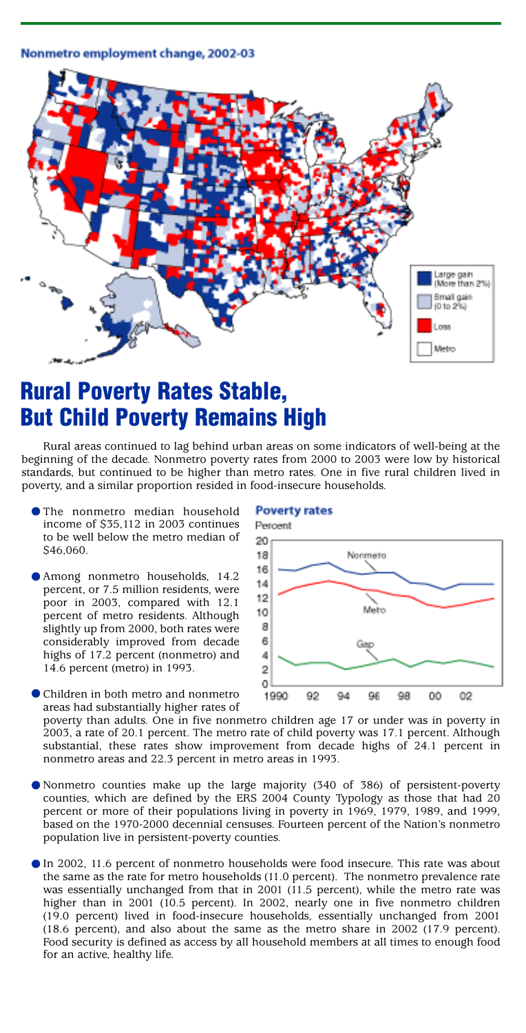#### Nonmetro employment change, 2002-03



### **Rural Poverty Rates Stable, But Child Poverty Remains High**

Rural areas continued to lag behind urban areas on some indicators of well-being at the beginning of the decade. Nonmetro poverty rates from 2000 to 2003 were low by historical standards, but continued to be higher than metro rates. One in five rural children lived in poverty, and a similar proportion resided in food-insecure households.

- The nonmetro median household income of \$35,112 in 2003 continues to be well below the metro median of \$46,060.
- Among nonmetro households, 14.2 percent, or 7.5 million residents, were poor in 2003, compared with 12.1 percent of metro residents. Although slightly up from 2000, both rates were considerably improved from decade highs of 17.2 percent (nonmetro) and 14.6 percent (metro) in 1993.
- Children in both metro and nonmetro areas had substantially higher rates of

#### **Poverty rates**



poverty than adults. One in five nonmetro children age 17 or under was in poverty in 2003, a rate of 20.1 percent. The metro rate of child poverty was 17.1 percent. Although substantial, these rates show improvement from decade highs of 24.1 percent in nonmetro areas and 22.3 percent in metro areas in 1993.

- Nonmetro counties make up the large majority (340 of 386) of persistent-poverty counties, which are defined by the ERS 2004 County Typology as those that had 20 percent or more of their populations living in poverty in 1969, 1979, 1989, and 1999, based on the 1970-2000 decennial censuses. Fourteen percent of the Nation's nonmetro population live in persistent-poverty counties.
- In 2002, 11.6 percent of nonmetro households were food insecure. This rate was about the same as the rate for metro households (11.0 percent). The nonmetro prevalence rate was essentially unchanged from that in 2001 (11.5 percent), while the metro rate was higher than in 2001 (10.5 percent). In 2002, nearly one in five nonmetro children (19.0 percent) lived in food-insecure households, essentially unchanged from 2001 (18.6 percent), and also about the same as the metro share in 2002 (17.9 percent). Food security is defined as access by all household members at all times to enough food for an active, healthy life.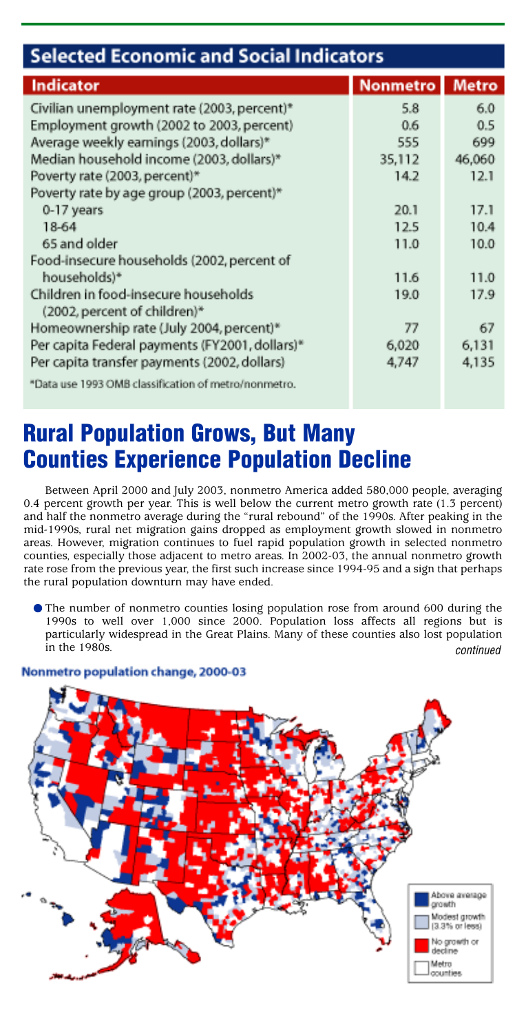| <b>Selected Economic and Social Indicators</b>                       |                 |              |
|----------------------------------------------------------------------|-----------------|--------------|
| <b>Indicator</b>                                                     | <b>Nonmetro</b> | <b>Metro</b> |
| Civilian unemployment rate (2003, percent)*                          | 5.8             | 6.0          |
| Employment growth (2002 to 2003, percent)                            | 0.6             | 0.5          |
| Average weekly earnings (2003, dollars)*                             | 555             | 699          |
| Median household income (2003, dollars)*                             | 35,112          | 46,060       |
| Poverty rate (2003, percent)*                                        | 14.2            | 12.1         |
| Poverty rate by age group (2003, percent)*                           |                 |              |
| 0-17 years                                                           | 20.1            | 17.1         |
| 18-64                                                                | 12.5            | 10.4         |
| 65 and older                                                         | 11.0            | 10.0         |
| Food-insecure households (2002, percent of                           |                 |              |
| households)*                                                         | 11.6            | 11.0         |
| Children in food-insecure households<br>(2002, percent of children)* | 19.0            | 17.9         |
| Homeownership rate (July 2004, percent)*                             | 77              | 67           |
| Per capita Federal payments (FY2001, dollars)*                       | 6,020           | 6,131        |
| Per capita transfer payments (2002, dollars)                         | 4,747           | 4,135        |
| *Data use 1993 OMB classification of metro/nonmetro.                 |                 |              |

# **Rural Population Grows, But Many Counties Experience Population Decline**

Between April 2000 and July 2003, nonmetro America added 580,000 people, averaging 0.4 percent growth per year. This is well below the current metro growth rate (1.3 percent) and half the nonmetro average during the "rural rebound" of the 1990s. After peaking in the mid-1990s, rural net migration gains dropped as employment growth slowed in nonmetro areas. However, migration continues to fuel rapid population growth in selected nonmetro counties, especially those adjacent to metro areas. In 2002-03, the annual nonmetro growth rate rose from the previous year, the first such increase since 1994-95 and a sign that perhaps the rural population downturn may have ended.

The number of nonmetro counties losing population rose from around 600 during the 1990s to well over 1,000 since 2000. Population loss affects all regions but is particularly widespread in the Great Plains. Many of these counties also lost population in the 1980s. continued



#### Nonmetro population change, 2000-03